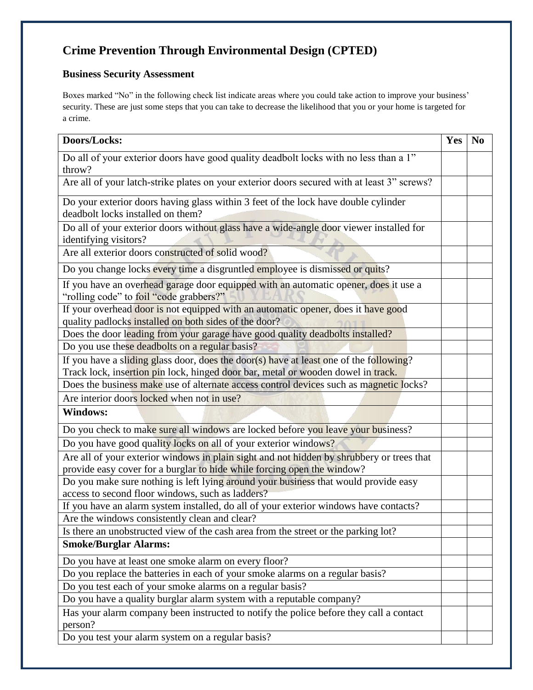## **Crime Prevention Through Environmental Design (CPTED)**

## **Business Security Assessment**

Boxes marked "No" in the following check list indicate areas where you could take action to improve your business' security. These are just some steps that you can take to decrease the likelihood that you or your home is targeted for a crime.

| Doors/Locks:                                                                                                                               | Yes | N <sub>0</sub> |
|--------------------------------------------------------------------------------------------------------------------------------------------|-----|----------------|
| Do all of your exterior doors have good quality deadbolt locks with no less than a 1"<br>throw?                                            |     |                |
| Are all of your latch-strike plates on your exterior doors secured with at least 3" screws?                                                |     |                |
| Do your exterior doors having glass within 3 feet of the lock have double cylinder<br>deadbolt locks installed on them?                    |     |                |
| Do all of your exterior doors without glass have a wide-angle door viewer installed for<br>identifying visitors?                           |     |                |
| Are all exterior doors constructed of solid wood?                                                                                          |     |                |
| Do you change locks every time a disgruntled employee is dismissed or quits?                                                               |     |                |
| If you have an overhead garage door equipped with an automatic opener, does it use a<br>"rolling code" to foil "code grabbers?"            |     |                |
| If your overhead door is not equipped with an automatic opener, does it have good<br>quality padlocks installed on both sides of the door? |     |                |
| Does the door leading from your garage have good quality deadbolts installed?                                                              |     |                |
| Do you use these deadbolts on a regular basis?                                                                                             |     |                |
| If you have a sliding glass door, does the door(s) have at least one of the following?                                                     |     |                |
| Track lock, insertion pin lock, hinged door bar, metal or wooden dowel in track.                                                           |     |                |
| Does the business make use of alternate access control devices such as magnetic locks?                                                     |     |                |
| Are interior doors locked when not in use?                                                                                                 |     |                |
| <b>Windows:</b>                                                                                                                            |     |                |
| Do you check to make sure all windows are locked before you leave your business?                                                           |     |                |
| Do you have good quality locks on all of your exterior windows?                                                                            |     |                |
| Are all of your exterior windows in plain sight and not hidden by shrubbery or trees that                                                  |     |                |
| provide easy cover for a burglar to hide while forcing open the window?                                                                    |     |                |
| Do you make sure nothing is left lying around your business that would provide easy<br>access to second floor windows, such as ladders?    |     |                |
| If you have an alarm system installed, do all of your exterior windows have contacts?                                                      |     |                |
| Are the windows consistently clean and clear?                                                                                              |     |                |
| Is there an unobstructed view of the cash area from the street or the parking lot?                                                         |     |                |
| <b>Smoke/Burglar Alarms:</b>                                                                                                               |     |                |
| Do you have at least one smoke alarm on every floor?                                                                                       |     |                |
| Do you replace the batteries in each of your smoke alarms on a regular basis?                                                              |     |                |
| Do you test each of your smoke alarms on a regular basis?                                                                                  |     |                |
| Do you have a quality burglar alarm system with a reputable company?                                                                       |     |                |
| Has your alarm company been instructed to notify the police before they call a contact<br>person?                                          |     |                |
| Do you test your alarm system on a regular basis?                                                                                          |     |                |
|                                                                                                                                            |     |                |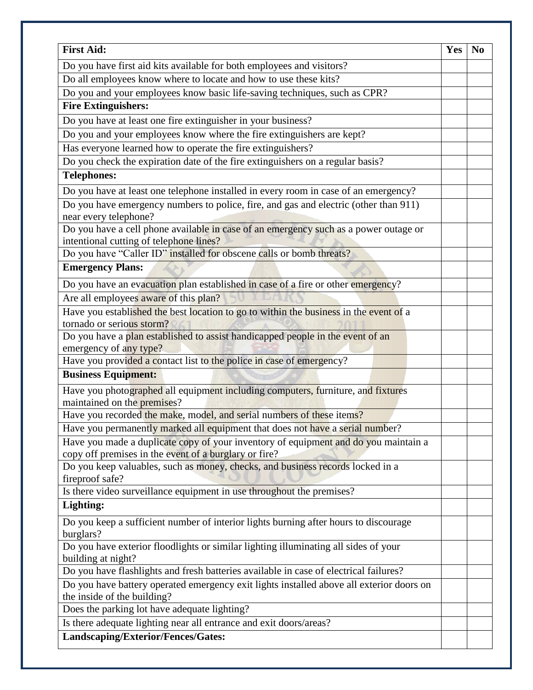| <b>First Aid:</b>                                                                                                                            | <b>Yes</b> | N <sub>0</sub> |
|----------------------------------------------------------------------------------------------------------------------------------------------|------------|----------------|
| Do you have first aid kits available for both employees and visitors?                                                                        |            |                |
| Do all employees know where to locate and how to use these kits?                                                                             |            |                |
| Do you and your employees know basic life-saving techniques, such as CPR?                                                                    |            |                |
| <b>Fire Extinguishers:</b>                                                                                                                   |            |                |
| Do you have at least one fire extinguisher in your business?                                                                                 |            |                |
| Do you and your employees know where the fire extinguishers are kept?                                                                        |            |                |
| Has everyone learned how to operate the fire extinguishers?                                                                                  |            |                |
| Do you check the expiration date of the fire extinguishers on a regular basis?                                                               |            |                |
| <b>Telephones:</b>                                                                                                                           |            |                |
| Do you have at least one telephone installed in every room in case of an emergency?                                                          |            |                |
| Do you have emergency numbers to police, fire, and gas and electric (other than 911)<br>near every telephone?                                |            |                |
| Do you have a cell phone available in case of an emergency such as a power outage or<br>intentional cutting of telephone lines?              |            |                |
| Do you have "Caller ID" installed for obscene calls or bomb threats?                                                                         |            |                |
| <b>Emergency Plans:</b>                                                                                                                      |            |                |
| Do you have an evacuation plan established in case of a fire or other emergency?                                                             |            |                |
| Are all employees aware of this plan?                                                                                                        |            |                |
| Have you established the best location to go to within the business in the event of a<br>tornado or serious storm?                           |            |                |
| Do you have a plan established to assist handicapped people in the event of an                                                               |            |                |
| emergency of any type?                                                                                                                       |            |                |
| Have you provided a contact list to the police in case of emergency?                                                                         |            |                |
| <b>Business Equipment:</b>                                                                                                                   |            |                |
| Have you photographed all equipment including computers, furniture, and fixtures<br>maintained on the premises?                              |            |                |
| Have you recorded the make, model, and serial numbers of these items?                                                                        |            |                |
| Have you permanently marked all equipment that does not have a serial number?                                                                |            |                |
| Have you made a duplicate copy of your inventory of equipment and do you maintain a<br>copy off premises in the event of a burglary or fire? |            |                |
| Do you keep valuables, such as money, checks, and business records locked in a<br>fireproof safe?                                            |            |                |
| Is there video surveillance equipment in use throughout the premises?                                                                        |            |                |
| Lighting:                                                                                                                                    |            |                |
| Do you keep a sufficient number of interior lights burning after hours to discourage<br>burglars?                                            |            |                |
| Do you have exterior floodlights or similar lighting illuminating all sides of your<br>building at night?                                    |            |                |
| Do you have flashlights and fresh batteries available in case of electrical failures?                                                        |            |                |
| Do you have battery operated emergency exit lights installed above all exterior doors on<br>the inside of the building?                      |            |                |
| Does the parking lot have adequate lighting?                                                                                                 |            |                |
| Is there adequate lighting near all entrance and exit doors/areas?                                                                           |            |                |
| Landscaping/Exterior/Fences/Gates:                                                                                                           |            |                |
|                                                                                                                                              |            |                |